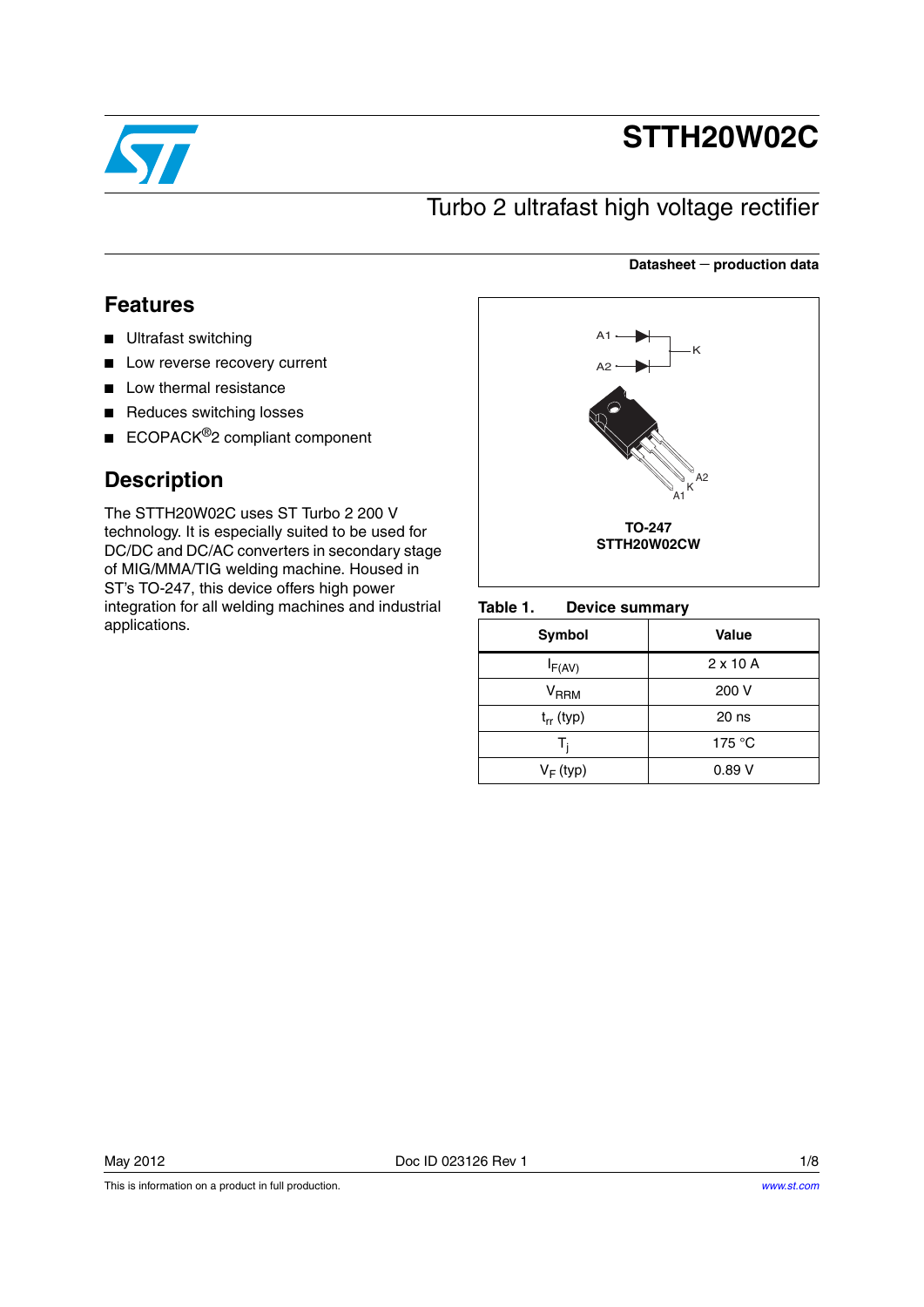

# **STTH20W02C**

**Datasheet** − **production data**

## Turbo 2 ultrafast high voltage rectifier

## **Features**

- Ultrafast switching
- Low reverse recovery current
- Low thermal resistance
- Reduces switching losses
- ECOPACK<sup>®</sup>2 compliant component

## **Description**

The STTH20W02C uses ST Turbo 2 200 V technology. It is especially suited to be used for DC/DC and DC/AC converters in secondary stage of MIG/MMA/TIG welding machine. Housed in ST's TO-247, this device offers high power integration for all welding machines and industrial applications.



#### Table 1. **Device summary**

| Symbol              | Value           |
|---------------------|-----------------|
| $I_{F(AV)}$         | $2 \times 10$ A |
| $\rm{V}_{\rm{RRM}}$ | 200 V           |
| $t_{rr}$ (typ)      | $20$ ns         |
| т,                  | 175 $\degree$ C |
| $V_F$ (typ)         | 0.89V           |

This is information on a product in full production.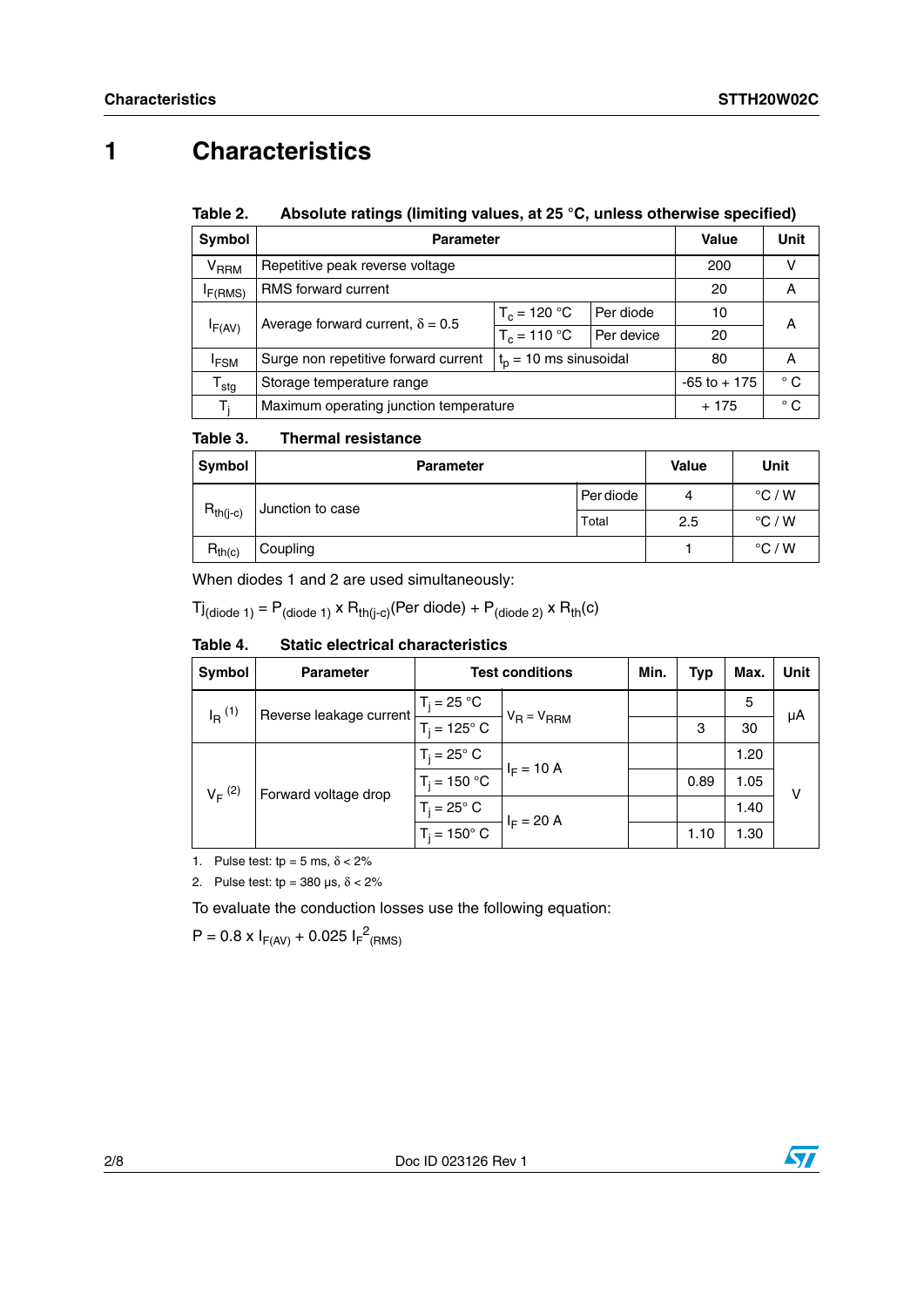# **1 Characteristics**

#### Table 2. Absolute ratings (limiting values, at 25 °C, unless otherwise specified)

| Symbol                    | <b>Parameter</b>                                                |                | Value        | Unit            |              |
|---------------------------|-----------------------------------------------------------------|----------------|--------------|-----------------|--------------|
| <b>V<sub>RRM</sub></b>    | Repetitive peak reverse voltage                                 | 200            |              |                 |              |
| I <sub>F</sub> (RMS)      | <b>RMS</b> forward current                                      | 20             | А            |                 |              |
|                           | Average forward current, $\delta = 0.5$                         |                | Per diode    | 10              | А            |
| IF(AV)                    |                                                                 | $T_c = 110 °C$ | Per device   | 20              |              |
| <sup>I</sup> FSM          | $tn = 10$ ms sinusoidal<br>Surge non repetitive forward current |                |              | 80              | A            |
| $\mathsf{T}_{\text{stg}}$ | Storage temperature range                                       |                |              | $-65$ to $+175$ | $^{\circ}$ C |
| T.                        | Maximum operating junction temperature                          | $+175$         | $^{\circ}$ C |                 |              |

#### Table 3. **Thermal resistance**

| <b>Symbol</b> | <b>Parameter</b> | <b>Value</b> | Unit |                 |
|---------------|------------------|--------------|------|-----------------|
|               | Junction to case | Per diode    | 4    | $\degree$ C / W |
| $R_{th(j-c)}$ | Total            |              | 2.5  | $\degree$ C / W |
| $R_{th(c)}$   | Coupling         |              |      | $\degree$ C / W |

When diodes 1 and 2 are used simultaneously:

 $Tj_{(diode 1)} = P_{(diode 1)} \times R_{th(j-c)}$ (Per diode) +  $P_{(diode 2)} \times R_{th}(c)$ 

#### Table 4. **Static electrical characteristics**

| Symbol               | <b>Parameter</b>        | <b>Test conditions</b>      | Min.                            | Typ                  | Max. | Unit |    |
|----------------------|-------------------------|-----------------------------|---------------------------------|----------------------|------|------|----|
| $I_R$ <sup>(1)</sup> | Reverse leakage current | $T_i = 25 °C$               | $V_R = V_{RRM}$<br>$I_F = 10 A$ |                      |      | 5    |    |
|                      |                         | $T_i = 125^\circ \text{ C}$ |                                 |                      | 3    | 30   | μA |
| $V_F^{(2)}$          |                         | $T_i = 25^\circ$ C          |                                 |                      |      | 1.20 |    |
|                      | Forward voltage drop    | $T_i = 150 °C$              |                                 | 0.89<br>$I_F = 20 A$ | 1.05 | v    |    |
|                      |                         | $T_i = 25^\circ$ C          |                                 |                      |      | 1.40 |    |
|                      |                         | $T_i = 150^\circ$ C         |                                 |                      | 1.10 | 1.30 |    |

1. Pulse test: tp = 5 ms,  $\delta$  < 2%

2. Pulse test: tp =  $380 \text{ }\mu\text{s}, \delta < 2\%$ 

To evaluate the conduction losses use the following equation:

 $P = 0.8 \times I_{F(AV)} + 0.025 I_{F}^{2}$ (RMS)

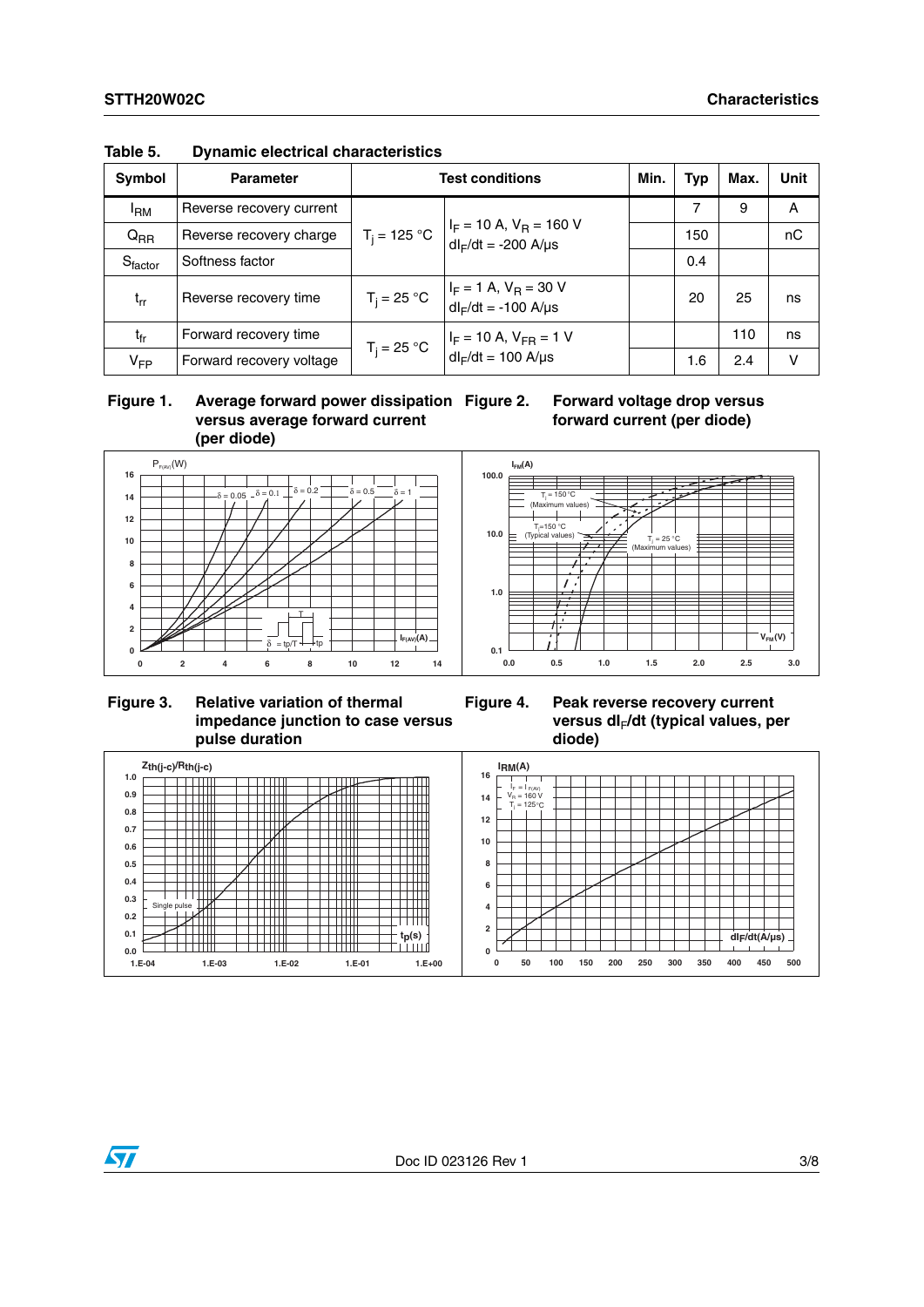| Symbol                         | <b>Parameter</b>         | <b>Test conditions</b> |                                                                                                                              |  | Typ | Max. | <b>Unit</b> |
|--------------------------------|--------------------------|------------------------|------------------------------------------------------------------------------------------------------------------------------|--|-----|------|-------------|
| <sup>I</sup> RM                | Reverse recovery current |                        |                                                                                                                              |  | 7   | 9    | A           |
| $Q_{RR}$                       | Reverse recovery charge  |                        | $T_j = 125 \text{ °C}$ $ I_F = 10 \text{ A}, V_R = 160 \text{ V}$<br>$dl_F/dt = -200$ A/µs                                   |  | 150 |      | nC          |
| $\mathsf{S}_{\mathsf{factor}}$ | Softness factor          |                        |                                                                                                                              |  | 0.4 |      |             |
| $L_{rr}$                       | Reverse recovery time    |                        | $T_j = 25 \text{ °C}$ $\begin{vmatrix} I_F = 1 \text{ A}, V_R = 30 \text{ V} \\ dl_F/dt = -100 \text{ A/ps} \end{vmatrix}$   |  | 20  | 25   | ns          |
| $t_{fr}$                       | Forward recovery time    |                        | $T_j = 25 \text{ °C}$ $\begin{vmatrix} I_F = 10 \text{ A}, V_{FR} = 1 \text{ V} \\ dl_F/dt = 100 \text{ A/ps} \end{vmatrix}$ |  |     | 110  | ns          |
| $V_{FP}$                       | Forward recovery voltage |                        |                                                                                                                              |  | 1.6 | 2.4  | v           |

#### **Table 5. Dynamic electrical characteristics**

### **Figure 1. Average forward power dissipation versus average forward current (per diode)**

## **Forward voltage drop versus forward current (per diode)**



### **Figure 3. Relative variation of thermal impedance junction to case versus pulse duration**

### **Figure 4. Peak reverse recovery current versus dI**F**/dt (typical values, per diode)**



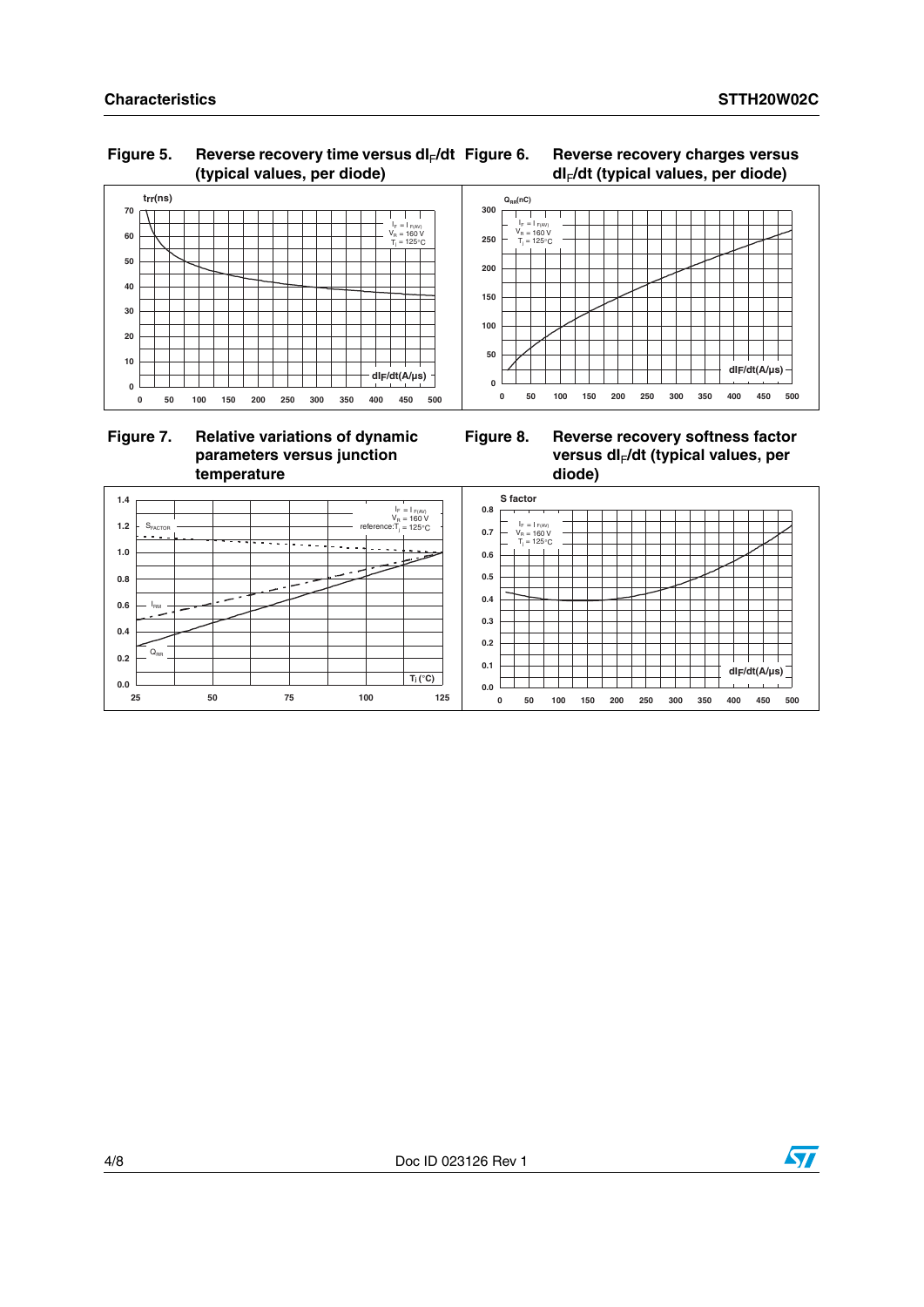**dIF/dt(A/µs)**

#### **Characteristics STTH20W02C**

### Figure 5. Reverse recovery time versus dl<sub>F</sub>/dt **(typical values, per diode)**





## **Figure 7. Relative variations of dynamic parameters versus junction temperature**





 $Q_{RR}(nC)$ 

 $I_F = I_{F(AV)}$ <br> $V_B = 160 V$  $125°C$ 

 $\overline{1}$ T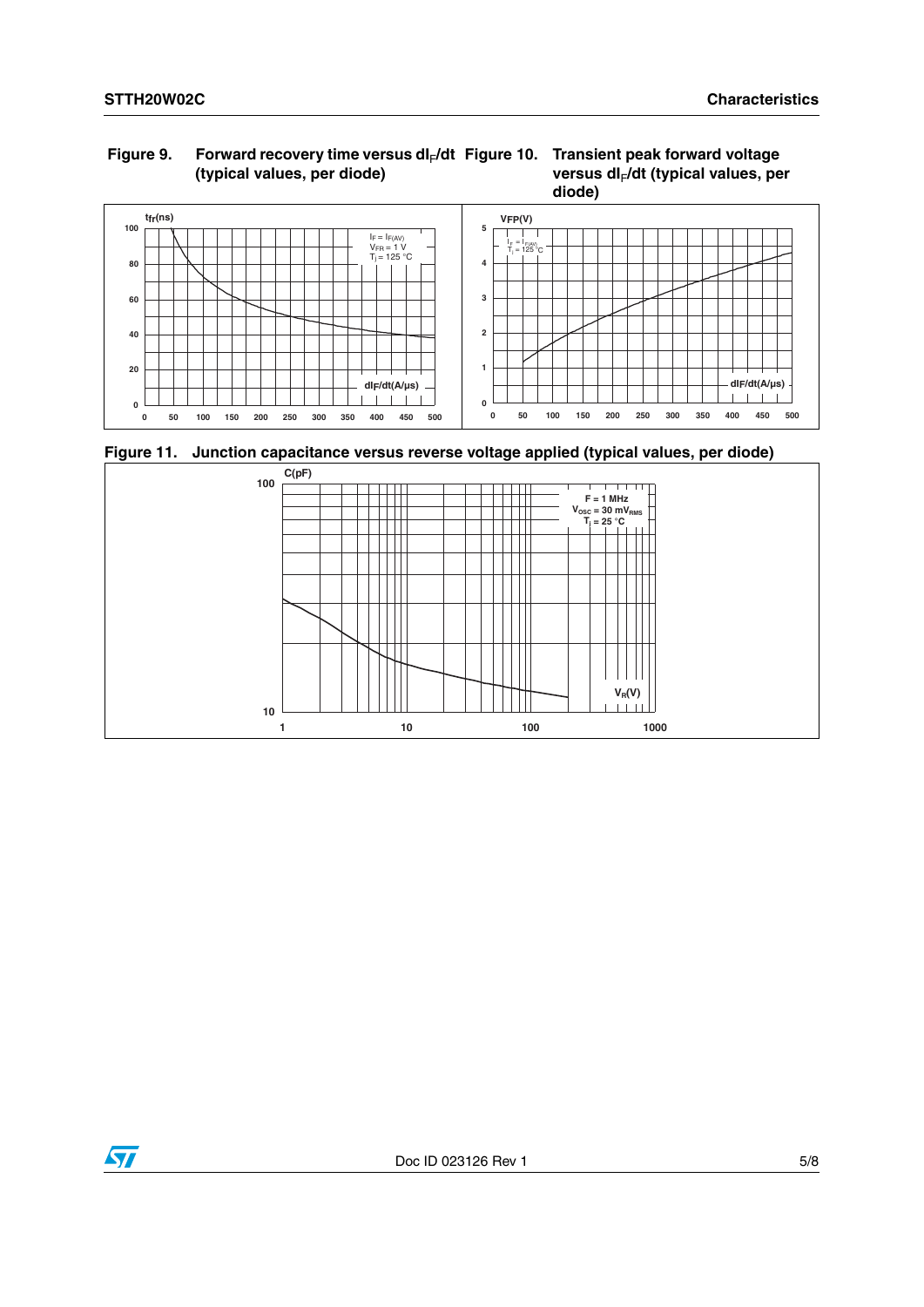## Figure 9. Forward recovery time versus dl<sub>F</sub>/dt Figure 10. Transient peak forward voltage **(typical values, per diode)**

## **versus dI**F**/dt (typical values, per diode)**



**Figure 11. Junction capacitance versus reverse voltage applied (typical values, per diode)**



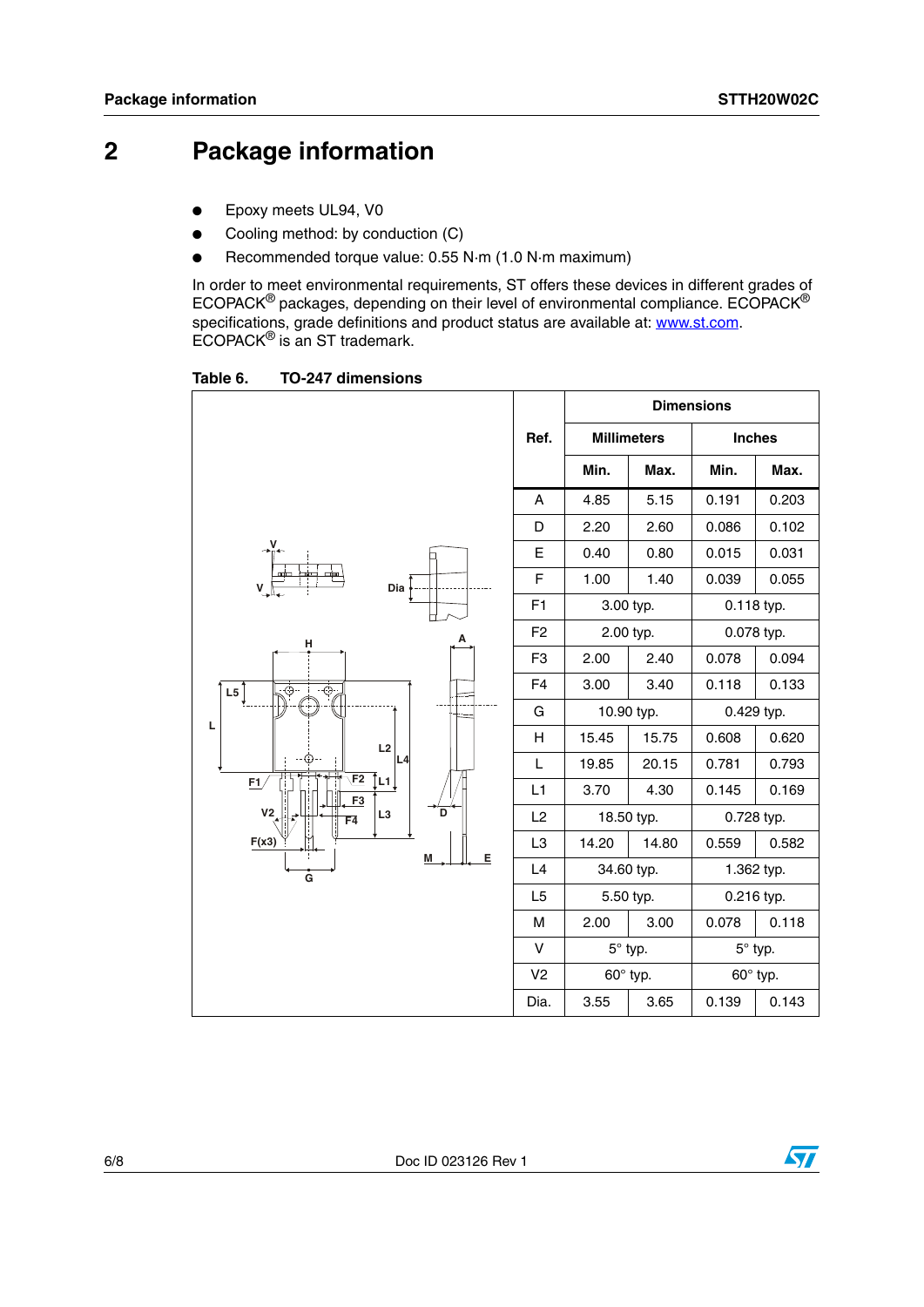## **2 Package information**

- Epoxy meets UL94, V0
- Cooling method: by conduction (C)
- Recommended torque value: 0.55 N·m (1.0 N·m maximum)

In order to meet environmental requirements, ST offers these devices in different grades of ECOPACK® packages, depending on their level of environmental compliance. ECOPACK® specifications, grade definitions and product status are available at: **www.st.com**. ECOPACK® is an ST trademark.

Table 6. **Table 6. TO-247 dimensions**

|                                             |                |            |                    | <b>Dimensions</b> |                |
|---------------------------------------------|----------------|------------|--------------------|-------------------|----------------|
|                                             | Ref.           |            | <b>Millimeters</b> | <b>Inches</b>     |                |
|                                             |                | Min.       | Max.               | Min.              | Max.           |
|                                             | A              | 4.85       | 5.15               | 0.191             | 0.203          |
|                                             | D              | 2.20       | 2.60               | 0.086             | 0.102          |
|                                             |                | 0.40       | 0.80               | 0.015             | 0.031          |
| Dia<br>V                                    | F              | 1.00       | 1.40               | 0.039             | 0.055          |
|                                             | F <sub>1</sub> |            | 3.00 typ.          | 0.118 typ.        |                |
| н                                           | F <sub>2</sub> |            | 2.00 typ.          |                   | 0.078 typ.     |
|                                             | F <sub>3</sub> | 2.00       | 2.40               | 0.078             | 0.094          |
| ⊕<br>L5<br>⊕                                | F <sub>4</sub> | 3.00       | 3.40               | 0.118             | 0.133          |
|                                             | G              | 10.90 typ. |                    | 0.429 typ.        |                |
| L<br>L2                                     | H              | 15.45      | 15.75              | 0.608             | 0.620          |
| L4                                          | L              | 19.85      | 20.15              | 0.781             | 0.793          |
| E2<br>[∟ז]<br>E1<br>F <sub>3</sub>          | L1             | 3.70       | 4.30               | 0.145             | 0.169          |
| V <sub>2</sub><br>D<br>L <sub>3</sub><br>F4 | L2             |            | 18.50 typ.         | 0.728 typ.        |                |
| F(x3)<br>Е<br>M                             | L <sub>3</sub> | 14.20      | 14.80              | 0.559             | 0.582          |
| Ġ                                           | L4             | 34.60 typ. |                    | 1.362 typ.        |                |
|                                             | L <sub>5</sub> |            | 5.50 typ.          |                   | 0.216 typ.     |
|                                             | M              | 2.00       | 3.00               | 0.078             | 0.118          |
|                                             | v              |            | $5^\circ$ typ.     |                   | $5^\circ$ typ. |
|                                             | V <sub>2</sub> |            | 60° typ.           | 60° typ.          |                |
|                                             | Dia.           | 3.55       | 3.65               | 0.139             | 0.143          |

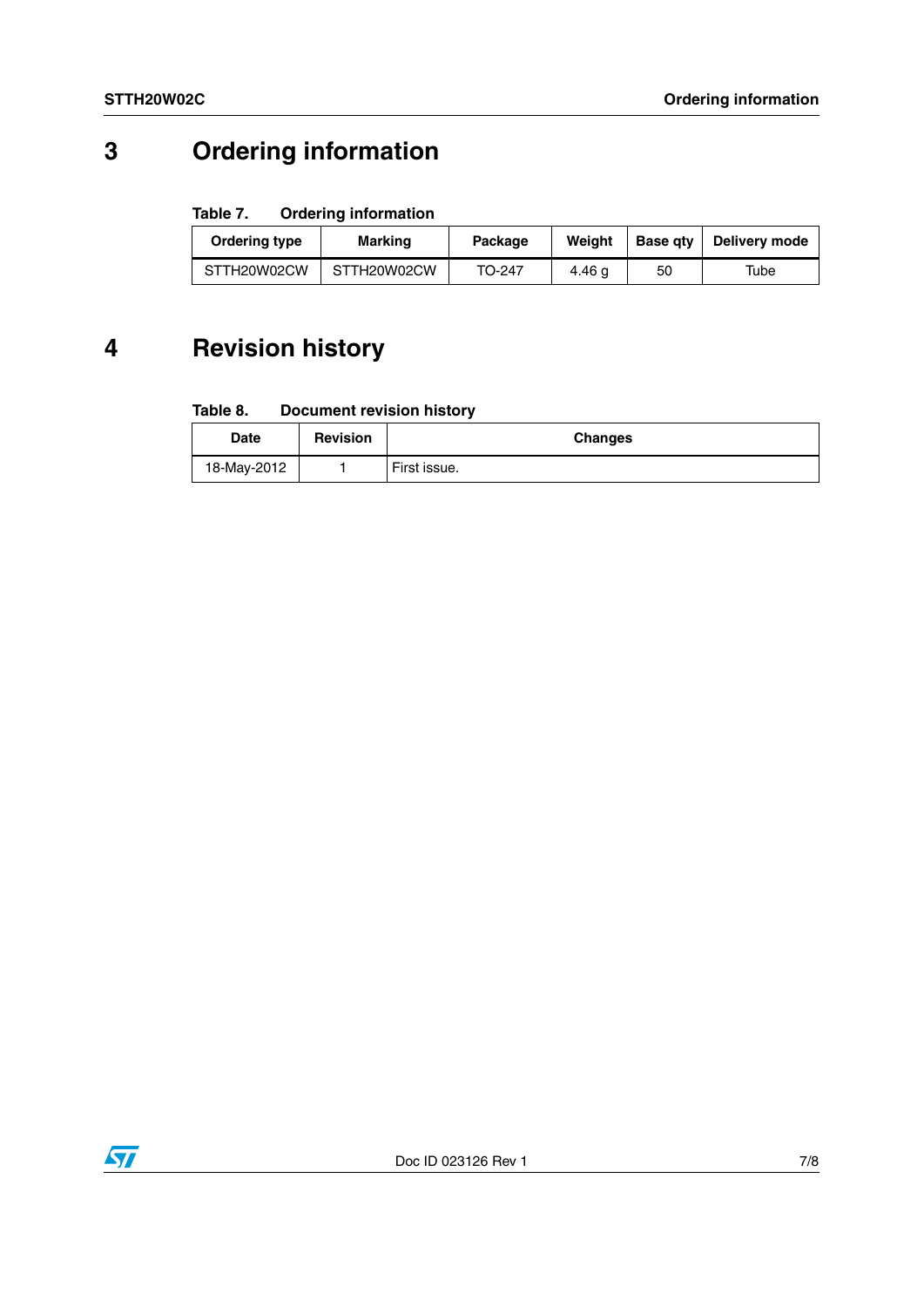# **3 Ordering information**

#### Table 7. **Ordering information**

| Ordering type              | Marking | Package | Weiaht | <b>Base gtv</b> | Delivery mode |
|----------------------------|---------|---------|--------|-----------------|---------------|
| STTH20W02CW<br>STTH20W02CW |         | TO-247  | 4.46 g | 50              | Tube          |

# **4 Revision history**

#### Table 8. **Document revision history**

| Date        | <b>Revision</b> | <b>Changes</b> |
|-------------|-----------------|----------------|
| 18-May-2012 |                 | First issue.   |